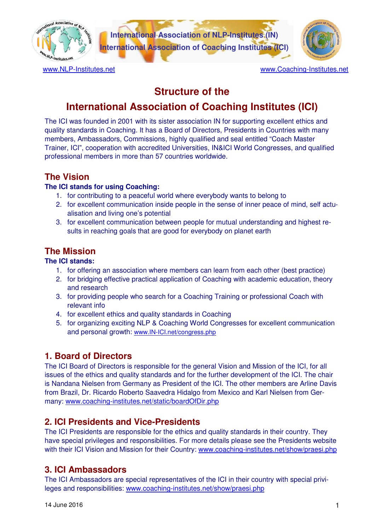

# **Structure of the**

# **International Association of Coaching Institutes (ICI)**

The ICI was founded in 2001 with its sister association IN for supporting excellent ethics and quality standards in Coaching. It has a Board of Directors, Presidents in Countries with many members, Ambassadors, Commissions, highly qualified and seal entitled "Coach Master Trainer, ICI", cooperation with accredited Universities, IN&ICI World Congresses, and qualified professional members in more than 57 countries worldwide.

# **The Vision**

#### **The ICI stands for using Coaching:**

- 1. for contributing to a peaceful world where everybody wants to belong to
- 2. for excellent communication inside people in the sense of inner peace of mind, self actualisation and living one's potential
- 3. for excellent communication between people for mutual understanding and highest results in reaching goals that are good for everybody on planet earth

# **The Mission**

#### **The ICI stands:**

- 1. for offering an association where members can learn from each other (best practice)
- 2. for bridging effective practical application of Coaching with academic education, theory and research
- 3. for providing people who search for a Coaching Training or professional Coach with relevant info
- 4. for excellent ethics and quality standards in Coaching
- 5. for organizing exciting NLP & Coaching World Congresses for excellent communication and personal growth: www.IN-ICI.net/congress.php

# **1. Board of Directors**

The ICI Board of Directors is responsible for the general Vision and Mission of the ICI, for all issues of the ethics and quality standards and for the further development of the ICI. The chair is Nandana Nielsen from Germany as President of the ICI. The other members are Arline Davis from Brazil, Dr. Ricardo Roberto Saavedra Hidalgo from Mexico and Karl Nielsen from Germany: www.coaching-institutes.net/static/boardOfDir.php

### **2. ICI Presidents and Vice-Presidents**

The ICI Presidents are responsible for the ethics and quality standards in their country. They have special privileges and responsibilities. For more details please see the Presidents website with their ICI Vision and Mission for their Country: www.coaching-institutes.net/show/praesi.php

# **3. ICI Ambassadors**

The ICI Ambassadors are special representatives of the ICI in their country with special privileges and responsibilities: www.coaching-institutes.net/show/praesi.php